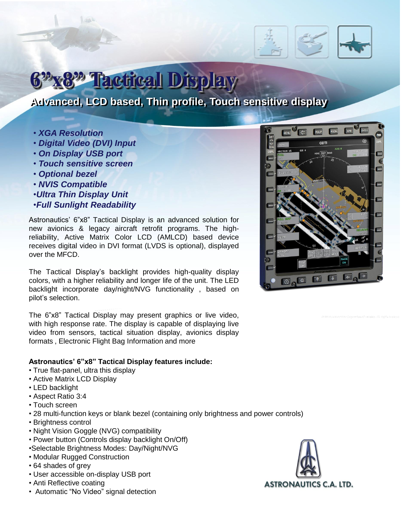## **Factical Display**

### **Advanced, LCD based, Thin profile, Touch sensitive display**

- *XGA Resolution*
- *Digital Video (DVI) Input*
- *On Display USB port*
- *Touch sensitive screen*
- *Optional bezel*
- *NVIS Compatible*
- •*Ultra Thin Display Unit*
- •*Full Sunlight Readability*

Astronautics' 6"x8" Tactical Display is an advanced solution for new avionics & legacy aircraft retrofit programs. The highreliability, Active Matrix Color LCD (AMLCD) based device receives digital video in DVI format (LVDS is optional), displayed over the MFCD.

The Tactical Display's backlight provides high-quality display colors, with a higher reliability and longer life of the unit. The LED backlight incorporate day/night/NVG functionality , based on pilot's selection.

The 6"x8" Tactical Display may present graphics or live video, with high response rate. The display is capable of displaying live video from sensors, tactical situation display, avionics display formats , Electronic Flight Bag Information and more

#### **Astronautics' 6"x8" Tactical Display features include:**

- True flat-panel, ultra this display
- Active Matrix LCD Display
- LED backlight
- Aspect Ratio 3:4
- Touch screen
- 28 multi-function keys or blank bezel (containing only brightness and power controls)
- Brightness control
- Night Vision Goggle (NVG) compatibility
- Power button (Controls display backlight On/Off)
- •Selectable Brightness Modes: Day/Night/NVG
- Modular Rugged Construction
- 64 shades of grey
- User accessible on-display USB port
- Anti Reflective coating
- Automatic "No Video" signal detection